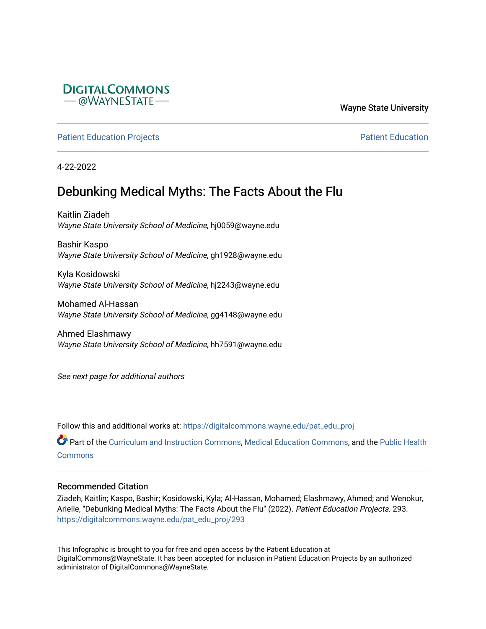

Wayne State University

[Patient Education Projects](https://digitalcommons.wayne.edu/pat_edu_proj) **Patient Education** Projects **Patient Education** 

4-22-2022

#### Debunking Medical Myths: The Facts About the Flu

Kaitlin Ziadeh Wayne State University School of Medicine, hj0059@wayne.edu

Bashir Kaspo Wayne State University School of Medicine, gh1928@wayne.edu

Kyla Kosidowski Wayne State University School of Medicine, hj2243@wayne.edu

Mohamed Al-Hassan Wayne State University School of Medicine, gg4148@wayne.edu

Ahmed Elashmawy Wayne State University School of Medicine, hh7591@wayne.edu

See next page for additional authors

Follow this and additional works at: [https://digitalcommons.wayne.edu/pat\\_edu\\_proj](https://digitalcommons.wayne.edu/pat_edu_proj?utm_source=digitalcommons.wayne.edu%2Fpat_edu_proj%2F293&utm_medium=PDF&utm_campaign=PDFCoverPages)

Part of the [Curriculum and Instruction Commons,](http://network.bepress.com/hgg/discipline/786?utm_source=digitalcommons.wayne.edu%2Fpat_edu_proj%2F293&utm_medium=PDF&utm_campaign=PDFCoverPages) [Medical Education Commons,](http://network.bepress.com/hgg/discipline/1125?utm_source=digitalcommons.wayne.edu%2Fpat_edu_proj%2F293&utm_medium=PDF&utm_campaign=PDFCoverPages) and the [Public Health](http://network.bepress.com/hgg/discipline/738?utm_source=digitalcommons.wayne.edu%2Fpat_edu_proj%2F293&utm_medium=PDF&utm_campaign=PDFCoverPages)  **[Commons](http://network.bepress.com/hgg/discipline/738?utm_source=digitalcommons.wayne.edu%2Fpat_edu_proj%2F293&utm_medium=PDF&utm_campaign=PDFCoverPages)** 

#### Recommended Citation

Ziadeh, Kaitlin; Kaspo, Bashir; Kosidowski, Kyla; Al-Hassan, Mohamed; Elashmawy, Ahmed; and Wenokur, Arielle, "Debunking Medical Myths: The Facts About the Flu" (2022). Patient Education Projects. 293. [https://digitalcommons.wayne.edu/pat\\_edu\\_proj/293](https://digitalcommons.wayne.edu/pat_edu_proj/293?utm_source=digitalcommons.wayne.edu%2Fpat_edu_proj%2F293&utm_medium=PDF&utm_campaign=PDFCoverPages)

This Infographic is brought to you for free and open access by the Patient Education at DigitalCommons@WayneState. It has been accepted for inclusion in Patient Education Projects by an authorized administrator of DigitalCommons@WayneState.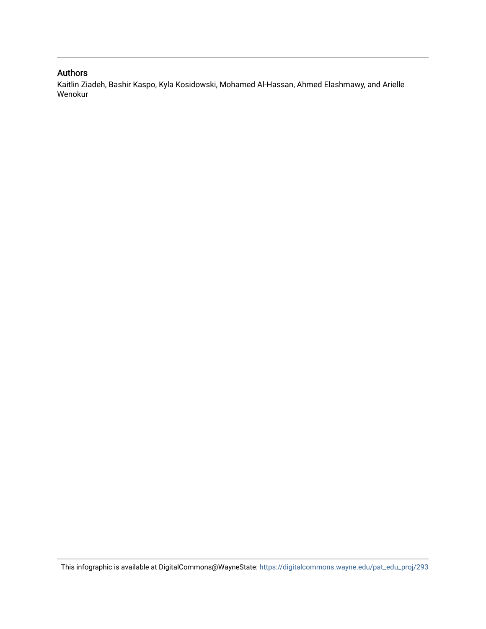#### Authors

Kaitlin Ziadeh, Bashir Kaspo, Kyla Kosidowski, Mohamed Al-Hassan, Ahmed Elashmawy, and Arielle Wenokur

This infographic is available at DigitalCommons@WayneState: [https://digitalcommons.wayne.edu/pat\\_edu\\_proj/293](https://digitalcommons.wayne.edu/pat_edu_proj/293)